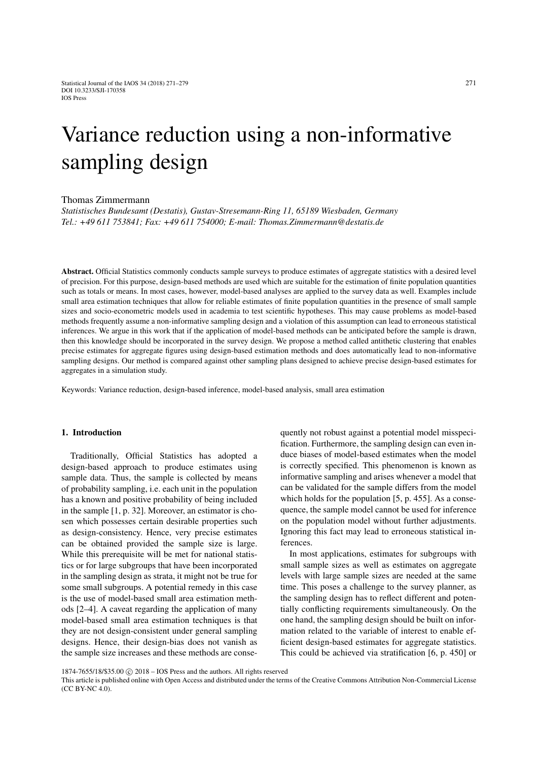# Variance reduction using a non-informative sampling design

Thomas Zimmermann

*Statistisches Bundesamt (Destatis), Gustav-Stresemann-Ring 11, 65189 Wiesbaden, Germany Tel.: +49 611 753841; Fax: +49 611 754000; E-mail: Thomas.Zimmermann@destatis.de*

Abstract. Official Statistics commonly conducts sample surveys to produce estimates of aggregate statistics with a desired level of precision. For this purpose, design-based methods are used which are suitable for the estimation of finite population quantities such as totals or means. In most cases, however, model-based analyses are applied to the survey data as well. Examples include small area estimation techniques that allow for reliable estimates of finite population quantities in the presence of small sample sizes and socio-econometric models used in academia to test scientific hypotheses. This may cause problems as model-based methods frequently assume a non-informative sampling design and a violation of this assumption can lead to erroneous statistical inferences. We argue in this work that if the application of model-based methods can be anticipated before the sample is drawn, then this knowledge should be incorporated in the survey design. We propose a method called antithetic clustering that enables precise estimates for aggregate figures using design-based estimation methods and does automatically lead to non-informative sampling designs. Our method is compared against other sampling plans designed to achieve precise design-based estimates for aggregates in a simulation study.

Keywords: Variance reduction, design-based inference, model-based analysis, small area estimation

# 1. Introduction

Traditionally, Official Statistics has adopted a design-based approach to produce estimates using sample data. Thus, the sample is collected by means of probability sampling, i.e. each unit in the population has a known and positive probability of being included in the sample [\[1,](#page-8-0) p. 32]. Moreover, an estimator is chosen which possesses certain desirable properties such as design-consistency. Hence, very precise estimates can be obtained provided the sample size is large. While this prerequisite will be met for national statistics or for large subgroups that have been incorporated in the sampling design as strata, it might not be true for some small subgroups. A potential remedy in this case is the use of model-based small area estimation methods [\[2–](#page-8-1)[4\]](#page-8-2). A caveat regarding the application of many model-based small area estimation techniques is that they are not design-consistent under general sampling designs. Hence, their design-bias does not vanish as the sample size increases and these methods are consequently not robust against a potential model misspecification. Furthermore, the sampling design can even induce biases of model-based estimates when the model is correctly specified. This phenomenon is known as informative sampling and arises whenever a model that can be validated for the sample differs from the model which holds for the population [\[5,](#page-8-3) p. 455]. As a consequence, the sample model cannot be used for inference on the population model without further adjustments. Ignoring this fact may lead to erroneous statistical inferences.

In most applications, estimates for subgroups with small sample sizes as well as estimates on aggregate levels with large sample sizes are needed at the same time. This poses a challenge to the survey planner, as the sampling design has to reflect different and potentially conflicting requirements simultaneously. On the one hand, the sampling design should be built on information related to the variable of interest to enable efficient design-based estimates for aggregate statistics. This could be achieved via stratification [\[6,](#page-8-4) p. 450] or

This article is published online with Open Access and distributed under the terms of the Creative Commons Attribution Non-Commercial License (CC BY-NC 4.0).

<sup>1874-7655/18/\$35.00</sup> C 2018 – IOS Press and the authors. All rights reserved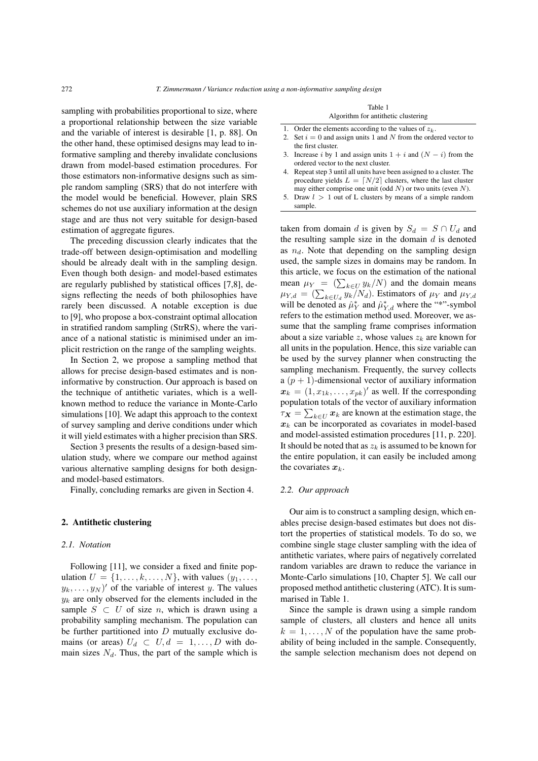sampling with probabilities proportional to size, where a proportional relationship between the size variable and the variable of interest is desirable [\[1,](#page-8-0) p. 88]. On the other hand, these optimised designs may lead to informative sampling and thereby invalidate conclusions drawn from model-based estimation procedures. For those estimators non-informative designs such as simple random sampling (SRS) that do not interfere with the model would be beneficial. However, plain SRS schemes do not use auxiliary information at the design stage and are thus not very suitable for design-based estimation of aggregate figures.

The preceding discussion clearly indicates that the trade-off between design-optimisation and modelling should be already dealt with in the sampling design. Even though both design- and model-based estimates are regularly published by statistical offices [\[7,](#page-8-5)[8\]](#page-8-6), designs reflecting the needs of both philosophies have rarely been discussed. A notable exception is due to [\[9\]](#page-8-7), who propose a box-constraint optimal allocation in stratified random sampling (StrRS), where the variance of a national statistic is minimised under an implicit restriction on the range of the sampling weights.

In Section 2, we propose a sampling method that allows for precise design-based estimates and is noninformative by construction. Our approach is based on the technique of antithetic variates, which is a wellknown method to reduce the variance in Monte-Carlo simulations [\[10\]](#page-8-8). We adapt this approach to the context of survey sampling and derive conditions under which it will yield estimates with a higher precision than SRS.

Section 3 presents the results of a design-based simulation study, where we compare our method against various alternative sampling designs for both designand model-based estimators.

Finally, concluding remarks are given in Section 4.

## 2. Antithetic clustering

#### *2.1. Notation*

Following [\[11\]](#page-8-9), we consider a fixed and finite population  $U = \{1, \ldots, k, \ldots, N\}$ , with values  $(y_1, \ldots,$  $(y_k, \ldots, y_N)'$  of the variable of interest y. The values  $y_k$  are only observed for the elements included in the sample  $S \subset U$  of size *n*, which is drawn using a probability sampling mechanism. The population can be further partitioned into  $D$  mutually exclusive domains (or areas)  $U_d \subset U, d = 1, \ldots, D$  with domain sizes  $N_d$ . Thus, the part of the sample which is

| Table 1                             |
|-------------------------------------|
| Algorithm for antithetic clustering |

- <span id="page-1-0"></span>1. Order the elements according to the values of  $z_k$ .<br>2. Set  $i = 0$  and assign units 1 and N from the order
- Set  $i = 0$  and assign units 1 and N from the ordered vector to the first cluster.
- 3. Increase i by 1 and assign units  $1 + i$  and  $(N i)$  from the ordered vector to the next cluster.
- 4. Repeat step 3 until all units have been assigned to a cluster. The procedure yields  $L = \lfloor N/2 \rfloor$  clusters, where the last cluster may either comprise one unit (odd  $N$ ) or two units (even  $N$ ).
- 5. Draw  $l > 1$  out of L clusters by means of a simple random sample.

taken from domain d is given by  $S_d = S \cap U_d$  and the resulting sample size in the domain  $d$  is denoted as  $n_d$ . Note that depending on the sampling design used, the sample sizes in domains may be random. In this article, we focus on the estimation of the national mean  $\mu_Y = (\sum_{k \in U} y_k/N)$  and the domain means  $\mu_{Y,d} = (\sum_{k \in U_d} y_k / N_d)$ . Estimators of  $\mu_Y$  and  $\mu_{Y,d}$ will be denoted as  $\hat{\mu}_Y^*$  and  $\hat{\mu}_{Y,d}^*$  where the "\*"-symbol refers to the estimation method used. Moreover, we assume that the sampling frame comprises information about a size variable z, whose values  $z_k$  are known for all units in the population. Hence, this size variable can be used by the survey planner when constructing the sampling mechanism. Frequently, the survey collects a  $(p + 1)$ -dimensional vector of auxiliary information  $x_k = (1, x_{1k}, \dots, x_{pk})'$  as well. If the corresponding population totals of the vector of auxiliary information  $\tau_{\boldsymbol{X}} = \sum_{k \in U} \boldsymbol{x}_k$  are known at the estimation stage, the  $x_k$  can be incorporated as covariates in model-based and model-assisted estimation procedures [\[11,](#page-8-9) p. 220]. It should be noted that as  $z_k$  is assumed to be known for the entire population, it can easily be included among the covariates  $x_k$ .

## *2.2. Our approach*

Our aim is to construct a sampling design, which enables precise design-based estimates but does not distort the properties of statistical models. To do so, we combine single stage cluster sampling with the idea of antithetic variates, where pairs of negatively correlated random variables are drawn to reduce the variance in Monte-Carlo simulations [\[10,](#page-8-8) Chapter 5]. We call our proposed method antithetic clustering (ATC). It is summarised in Table [1.](#page-1-0)

Since the sample is drawn using a simple random sample of clusters, all clusters and hence all units  $k = 1, \ldots, N$  of the population have the same probability of being included in the sample. Consequently, the sample selection mechanism does not depend on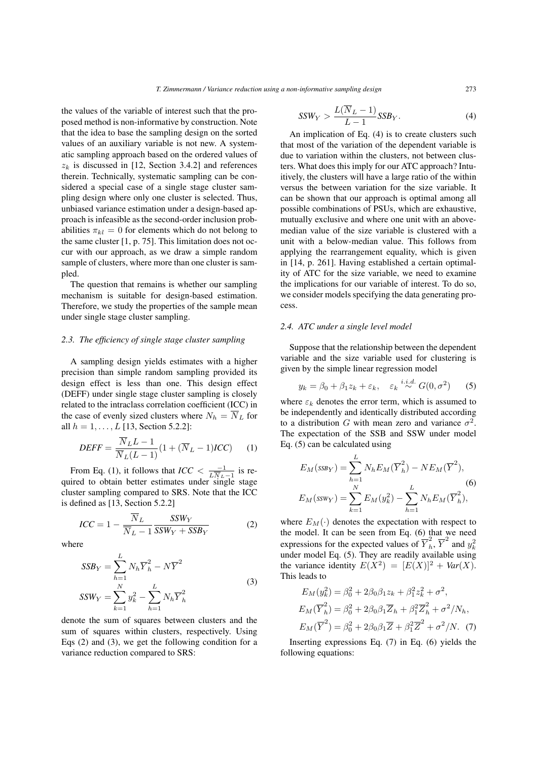the values of the variable of interest such that the proposed method is non-informative by construction. Note that the idea to base the sampling design on the sorted values of an auxiliary variable is not new. A systematic sampling approach based on the ordered values of  $z_k$  is discussed in [\[12,](#page-8-10) Section 3.4.2] and references therein. Technically, systematic sampling can be considered a special case of a single stage cluster sampling design where only one cluster is selected. Thus, unbiased variance estimation under a design-based approach is infeasible as the second-order inclusion probabilities  $\pi_{kl} = 0$  for elements which do not belong to the same cluster [\[1,](#page-8-0) p. 75]. This limitation does not occur with our approach, as we draw a simple random sample of clusters, where more than one cluster is sampled.

The question that remains is whether our sampling mechanism is suitable for design-based estimation. Therefore, we study the properties of the sample mean under single stage cluster sampling.

### *2.3. The efficiency of single stage cluster sampling*

A sampling design yields estimates with a higher precision than simple random sampling provided its design effect is less than one. This design effect (DEFF) under single stage cluster sampling is closely related to the intraclass correlation coefficient (ICC) in the case of evenly sized clusters where  $N_h = \overline{N}_L$  for all  $h = 1, ..., L$  [\[13,](#page-8-11) Section 5.2.2]:

<span id="page-2-0"></span>
$$
DEFF = \frac{\overline{N}_L L - 1}{\overline{N}_L (L - 1)} (1 + (\overline{N}_L - 1) ICC)
$$
 (1)

From Eq. [\(1\)](#page-2-0), it follows that  $ICC < \frac{-1}{\sqrt{N}}$  $\frac{-1}{L\overline{N}_{L-1}}$  is required to obtain better estimates under single stage cluster sampling compared to SRS. Note that the ICC is defined as [\[13,](#page-8-11) Section 5.2.2]

<span id="page-2-1"></span>
$$
ICC = 1 - \frac{\overline{N}_L}{\overline{N}_L - 1} \frac{SSW_Y}{SSW_Y + SSB_Y}
$$
 (2)

where

<span id="page-2-2"></span>
$$
SSB_Y = \sum_{h=1}^{L} N_h \overline{Y}_h^2 - N \overline{Y}^2
$$
  

$$
SSW_Y = \sum_{k=1}^{N} y_k^2 - \sum_{h=1}^{L} N_h \overline{Y}_h^2
$$
 (3)

denote the sum of squares between clusters and the sum of squares within clusters, respectively. Using Eqs [\(2\)](#page-2-1) and [\(3\)](#page-2-2), we get the following condition for a variance reduction compared to SRS:

<span id="page-2-3"></span>
$$
SSW_Y > \frac{L(\overline{N}_L - 1)}{L - 1}SSB_Y.
$$
 (4)

An implication of Eq. [\(4\)](#page-2-3) is to create clusters such that most of the variation of the dependent variable is due to variation within the clusters, not between clusters. What does this imply for our ATC approach? Intuitively, the clusters will have a large ratio of the within versus the between variation for the size variable. It can be shown that our approach is optimal among all possible combinations of PSUs, which are exhaustive, mutually exclusive and where one unit with an abovemedian value of the size variable is clustered with a unit with a below-median value. This follows from applying the rearrangement equality, which is given in [\[14,](#page-8-12) p. 261]. Having established a certain optimality of ATC for the size variable, we need to examine the implications for our variable of interest. To do so, we consider models specifying the data generating process.

#### *2.4. ATC under a single level model*

Suppose that the relationship between the dependent variable and the size variable used for clustering is given by the simple linear regression model

<span id="page-2-4"></span>
$$
y_k = \beta_0 + \beta_1 z_k + \varepsilon_k, \quad \varepsilon_k \stackrel{i.i.d.}{\sim} G(0, \sigma^2) \tag{5}
$$

where  $\varepsilon_k$  denotes the error term, which is assumed to be independently and identically distributed according to a distribution G with mean zero and variance  $\sigma^2$ . The expectation of the SSB and SSW under model Eq. [\(5\)](#page-2-4) can be calculated using

<span id="page-2-5"></span>
$$
E_M(s_{s_{Y}}) = \sum_{h=1}^{L} N_h E_M(\overline{Y}_h^2) - N E_M(\overline{Y}^2),
$$
  
\n
$$
E_M(s_{s_{Y}}) = \sum_{k=1}^{N} E_M(y_k^2) - \sum_{h=1}^{L} N_h E_M(\overline{Y}_h^2),
$$
\n(6)

where  $E_M(\cdot)$  denotes the expectation with respect to the model. It can be seen from Eq. [\(6\)](#page-2-5) that we need expressions for the expected values of  $\overline{Y}_h^2$  $\overline{h}^2$ ,  $\overline{Y}^2$  and  $y_k^2$ under model Eq. [\(5\)](#page-2-4). They are readily available using the variance identity  $E(X^2) = [E(X)]^2 + Var(X)$ . This leads to

<span id="page-2-6"></span>
$$
E_M(y_k^2) = \beta_0^2 + 2\beta_0 \beta_1 z_k + \beta_1^2 z_k^2 + \sigma^2,
$$
  
\n
$$
E_M(\overline{Y}_h^2) = \beta_0^2 + 2\beta_0 \beta_1 \overline{Z}_h + \beta_1^2 \overline{Z}_h^2 + \sigma^2/N_h,
$$
  
\n
$$
E_M(\overline{Y}^2) = \beta_0^2 + 2\beta_0 \beta_1 \overline{Z} + \beta_1^2 \overline{Z}^2 + \sigma^2/N.
$$
 (7)

Inserting expressions Eq. [\(7\)](#page-2-6) in Eq. [\(6\)](#page-2-5) yields the following equations: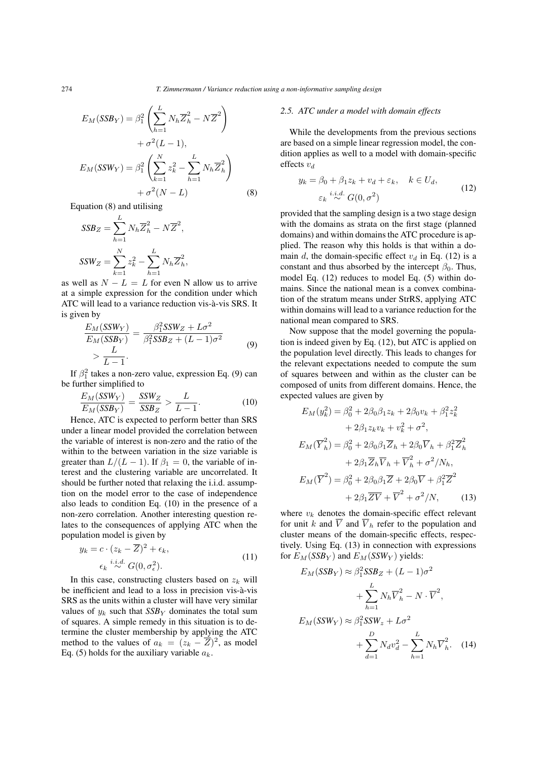<span id="page-3-0"></span>
$$
E_M(SSB_Y) = \beta_1^2 \left( \sum_{h=1}^L N_h \overline{Z}_h^2 - N \overline{Z}^2 \right)
$$

$$
+ \sigma^2 (L - 1),
$$

$$
E_M(SSW_Y) = \beta_1^2 \left( \sum_{k=1}^N z_k^2 - \sum_{h=1}^L N_h \overline{Z}_h^2 \right)
$$

$$
+ \sigma^2 (N - L) \tag{8}
$$

Equation [\(8\)](#page-3-0) and utilising

$$
SSB_Z = \sum_{h=1}^{L} N_h \overline{Z}_h^2 - N \overline{Z}^2,
$$
  

$$
SSW_Z = \sum_{k=1}^{N} z_k^2 - \sum_{h=1}^{L} N_h \overline{Z}_h^2,
$$

as well as  $N - L = L$  for even N allow us to arrive at a simple expression for the condition under which ATC will lead to a variance reduction vis-à-vis SRS. It is given by

<span id="page-3-1"></span>
$$
\frac{E_M(SSW_Y)}{E_M(SSB_Y)} = \frac{\beta_1^2 SSW_Z + L\sigma^2}{\beta_1^2 SSB_Z + (L-1)\sigma^2}
$$
\n
$$
> \frac{L}{L-1}.
$$
\n(9)

If  $\beta_1^2$  takes a non-zero value, expression Eq. [\(9\)](#page-3-1) can be further simplified to

<span id="page-3-2"></span>
$$
\frac{E_M(SSW_Y)}{E_M(SSB_Y)} = \frac{SSW_Z}{SSB_Z} > \frac{L}{L-1}.
$$
\n(10)

Hence, ATC is expected to perform better than SRS under a linear model provided the correlation between the variable of interest is non-zero and the ratio of the within to the between variation in the size variable is greater than  $L/(L - 1)$ . If  $\beta_1 = 0$ , the variable of interest and the clustering variable are uncorrelated. It should be further noted that relaxing the i.i.d. assumption on the model error to the case of independence also leads to condition Eq. [\(10\)](#page-3-2) in the presence of a non-zero correlation. Another interesting question relates to the consequences of applying ATC when the population model is given by

$$
y_k = c \cdot (z_k - \overline{Z})^2 + \epsilon_k,
$$
  
\n
$$
\epsilon_k \stackrel{i.i.d.}{\sim} G(0, \sigma_\epsilon^2).
$$
\n(11)

In this case, constructing clusters based on  $z_k$  will be inefficient and lead to a loss in precision vis-à-vis SRS as the units within a cluster will have very similar values of  $y_k$  such that  $SSB<sub>Y</sub>$  dominates the total sum of squares. A simple remedy in this situation is to determine the cluster membership by applying the ATC method to the values of  $a_k = (z_k - \overline{Z})^2$ , as model Eq. [\(5\)](#page-2-4) holds for the auxiliary variable  $a_k$ .

#### *2.5. ATC under a model with domain effects*

While the developments from the previous sections are based on a simple linear regression model, the condition applies as well to a model with domain-specific effects  $v_d$ 

<span id="page-3-3"></span>
$$
y_k = \beta_0 + \beta_1 z_k + v_d + \varepsilon_k, \quad k \in U_d,
$$
  

$$
\varepsilon_k \stackrel{i.i.d.}{\sim} G(0, \sigma^2)
$$
 (12)

provided that the sampling design is a two stage design with the domains as strata on the first stage (planned domains) and within domains the ATC procedure is applied. The reason why this holds is that within a domain d, the domain-specific effect  $v_d$  in Eq. [\(12\)](#page-3-3) is a constant and thus absorbed by the intercept  $\beta_0$ . Thus, model Eq. [\(12\)](#page-3-3) reduces to model Eq. [\(5\)](#page-2-4) within domains. Since the national mean is a convex combination of the stratum means under StrRS, applying ATC within domains will lead to a variance reduction for the national mean compared to SRS.

Now suppose that the model governing the population is indeed given by Eq. [\(12\)](#page-3-3), but ATC is applied on the population level directly. This leads to changes for the relevant expectations needed to compute the sum of squares between and within as the cluster can be composed of units from different domains. Hence, the expected values are given by

 $\sim$ 

<span id="page-3-4"></span>
$$
E_M(y_k^2) = \beta_0^2 + 2\beta_0 \beta_1 z_k + 2\beta_0 v_k + \beta_1^2 z_k^2
$$
  
+ 2\beta\_1 z\_k v\_k + v\_k^2 + \sigma^2,  

$$
E_M(\overline{Y}_h^2) = \beta_0^2 + 2\beta_0 \beta_1 \overline{Z}_h + 2\beta_0 \overline{V}_h + \beta_1^2 \overline{Z}_h^2
$$
  
+ 2\beta\_1 \overline{Z}\_h \overline{V}\_h + \overline{V}\_h^2 + \sigma^2 / N\_h,  

$$
E_M(\overline{Y}^2) = \beta_0^2 + 2\beta_0 \beta_1 \overline{Z} + 2\beta_0 \overline{V} + \beta_1^2 \overline{Z}^2
$$
  
+ 2\beta\_1 \overline{Z}\overline{V} + \overline{V}^2 + \sigma^2 / N, (13)

where  $v_k$  denotes the domain-specific effect relevant for unit k and  $\overline{V}$  and  $\overline{V}_h$  refer to the population and cluster means of the domain-specific effects, respectively. Using Eq. [\(13\)](#page-3-4) in connection with expressions for  $E_M(SSB_Y)$  and  $E_M(SSW_Y)$  yields:

<span id="page-3-5"></span>
$$
E_M(SSB_Y) \approx \beta_1^2 SSB_Z + (L - 1)\sigma^2
$$
  
+ 
$$
\sum_{h=1}^{L} N_h \overline{V}_h^2 - N \cdot \overline{V}^2,
$$
  

$$
E_M(SSW_Y) \approx \beta_1^2 SSW_z + L\sigma^2
$$
  
+ 
$$
\sum_{d=1}^{D} N_d v_d^2 - \sum_{h=1}^{L} N_h \overline{V}_h^2.
$$
 (14)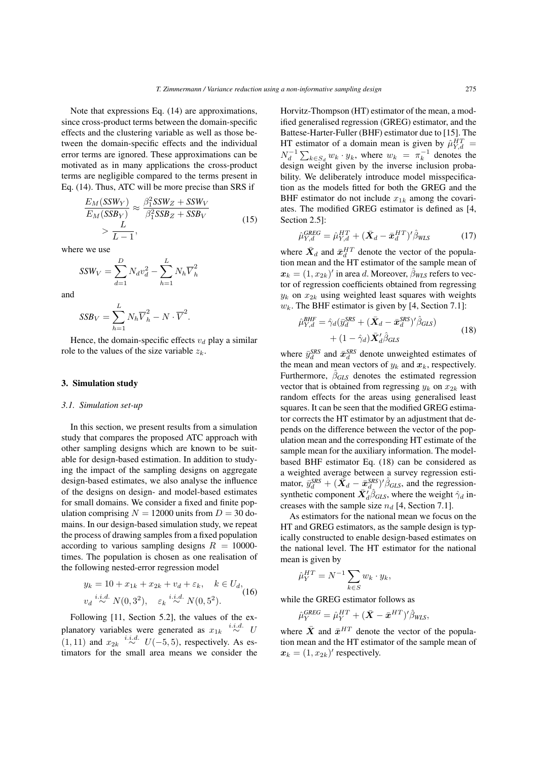Note that expressions Eq. [\(14\)](#page-3-5) are approximations, since cross-product terms between the domain-specific effects and the clustering variable as well as those between the domain-specific effects and the individual error terms are ignored. These approximations can be motivated as in many applications the cross-product terms are negligible compared to the terms present in Eq. [\(14\)](#page-3-5). Thus, ATC will be more precise than SRS if

$$
\frac{E_M(SSW_Y)}{E_M(SSB_Y)} \approx \frac{\beta_1^2SSW_Z + SSW_V}{\beta_1^2SSB_Z + SSB_V} \tag{15}
$$
\n
$$
> \frac{L}{L-1},
$$

where we use

$$
SSW_V = \sum_{d=1}^{D} N_d v_d^2 - \sum_{h=1}^{L} N_h \overline{V}_h^2
$$

and

$$
SSB_V = \sum_{h=1}^{L} N_h \overline{V}_h^2 - N \cdot \overline{V}^2.
$$

Hence, the domain-specific effects  $v_d$  play a similar role to the values of the size variable  $z_k$ .

# 3. Simulation study

#### *3.1. Simulation set-up*

In this section, we present results from a simulation study that compares the proposed ATC approach with other sampling designs which are known to be suitable for design-based estimation. In addition to studying the impact of the sampling designs on aggregate design-based estimates, we also analyse the influence of the designs on design- and model-based estimates for small domains. We consider a fixed and finite population comprising  $N = 12000$  units from  $D = 30$  domains. In our design-based simulation study, we repeat the process of drawing samples from a fixed population according to various sampling designs  $R = 10000$ times. The population is chosen as one realisation of the following nested-error regression model

<span id="page-4-1"></span>
$$
y_k = 10 + x_{1k} + x_{2k} + v_d + \varepsilon_k, \quad k \in U_d,
$$
  
\n
$$
v_d \stackrel{i.i.d.}{\sim} N(0, 3^2), \quad \varepsilon_k \stackrel{i.i.d.}{\sim} N(0, 5^2).
$$
 (16)

Following [\[11,](#page-8-9) Section 5.2], the values of the explanatory variables were generated as  $x_{1k} \stackrel{i.i.d.}{\sim} U$  $(1, 11)$  and  $x_{2k} \stackrel{i.i.d.}{\sim} U(-5, 5)$ , respectively. As estimators for the small area means we consider the Horvitz-Thompson (HT) estimator of the mean, a modified generalised regression (GREG) estimator, and the Battese-Harter-Fuller (BHF) estimator due to [\[15\]](#page-8-13). The HT estimator of a domain mean is given by  $\hat{\mu}_{Y,d}^{HT} =$  $N_d^{-1} \sum_{k \in S_d} w_k \cdot y_k$ , where  $w_k = \pi_k^{-1}$  denotes the design weight given by the inverse inclusion probability. We deliberately introduce model misspecification as the models fitted for both the GREG and the BHF estimator do not include  $x_{1k}$  among the covariates. The modified GREG estimator is defined as [\[4,](#page-8-2) Section 2.5]:

$$
\hat{\mu}_{Y,d}^{GREG} = \hat{\mu}_{Y,d}^{HT} + (\bar{\mathbf{X}}_d - \bar{\mathbf{x}}_d^{HT})' \hat{\beta}_{WLS}
$$
(17)

where  $\bar{X}_d$  and  $\bar{x}_d^{HT}$  denote the vector of the population mean and the HT estimator of the sample mean of  $\boldsymbol{x}_k = (1, x_{2k})'$  in area d. Moreover,  $\hat{\beta}_{WLS}$  refers to vector of regression coefficients obtained from regressing  $y_k$  on  $x_{2k}$  using weighted least squares with weights  $w_k$ . The BHF estimator is given by [\[4,](#page-8-2) Section 7.1]:

<span id="page-4-0"></span>
$$
\hat{\mu}_{Y,d}^{BHF} = \hat{\gamma}_d (\bar{y}_d^{SRS} + (\bar{X}_d - \bar{x}_d^{SRS})' \hat{\beta}_{GLS}) + (1 - \hat{\gamma}_d) \bar{X}_d' \hat{\beta}_{GLS}
$$
\n(18)

where  $\bar{y}_d^{SRS}$  and  $\bar{x}_d^{SRS}$  denote unweighted estimates of the mean and mean vectors of  $y_k$  and  $x_k$ , respectively. Furthermore,  $\hat{\beta}_{GLS}$  denotes the estimated regression vector that is obtained from regressing  $y_k$  on  $x_{2k}$  with random effects for the areas using generalised least squares. It can be seen that the modified GREG estimator corrects the HT estimator by an adjustment that depends on the difference between the vector of the population mean and the corresponding HT estimate of the sample mean for the auxiliary information. The modelbased BHF estimator Eq. [\(18\)](#page-4-0) can be considered as a weighted average between a survey regression estimator,  $\bar{y}_d^{SRS} + (\bar{X}_d - \bar{x}_{d_s}^{SRS})' \hat{\beta}_{GLS}$ , and the regressionsynthetic component  $\bar{X}'_d\hat{\beta}_{GLS}$ , where the weight  $\hat{\gamma}_d$  increases with the sample size  $n_d$  [\[4,](#page-8-2) Section 7.1].

As estimators for the national mean we focus on the HT and GREG estimators, as the sample design is typically constructed to enable design-based estimates on the national level. The HT estimator for the national mean is given by

$$
\hat{\mu}_Y^{HT} = N^{-1} \sum_{k \in S} w_k \cdot y_k,
$$

while the GREG estimator follows as

$$
\hat{\mu}_Y^{GREG} = \hat{\mu}_Y^{HT} + (\bar{X} - \bar{x}^{HT})' \hat{\beta}_{WLS},
$$

where  $\bar{X}$  and  $\bar{x}^{HT}$  denote the vector of the population mean and the HT estimator of the sample mean of  $x_k = (1, x_{2k})'$  respectively.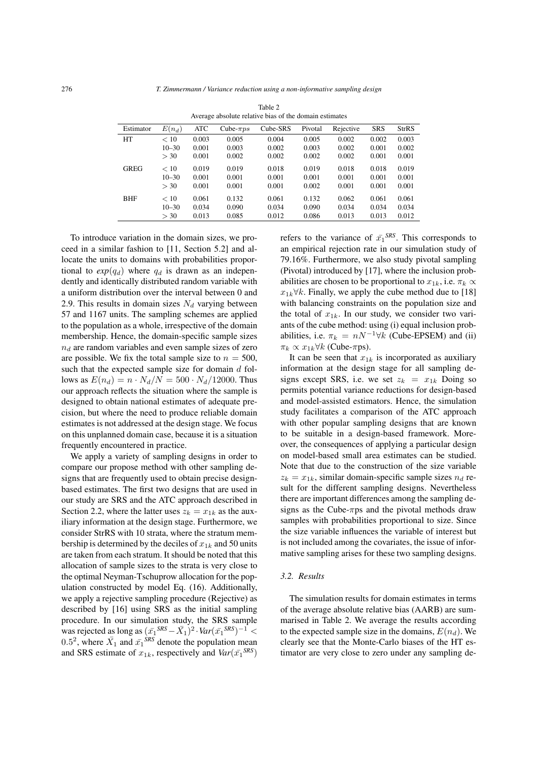<span id="page-5-0"></span>

| Average absolute relative bias of the domain estimates |           |       |                |          |         |           |            |              |
|--------------------------------------------------------|-----------|-------|----------------|----------|---------|-----------|------------|--------------|
| Estimator                                              | $E(n_d)$  | ATC   | Cube- $\pi ps$ | Cube-SRS | Pivotal | Rejective | <b>SRS</b> | <b>StrRS</b> |
| HT                                                     | < 10      | 0.003 | 0.005          | 0.004    | 0.005   | 0.002     | 0.002      | 0.003        |
|                                                        | $10 - 30$ | 0.001 | 0.003          | 0.002    | 0.003   | 0.002     | 0.001      | 0.002        |
|                                                        | $>$ 30    | 0.001 | 0.002          | 0.002    | 0.002   | 0.002     | 0.001      | 0.001        |
| <b>GREG</b>                                            | < 10      | 0.019 | 0.019          | 0.018    | 0.019   | 0.018     | 0.018      | 0.019        |
|                                                        | $10 - 30$ | 0.001 | 0.001          | 0.001    | 0.001   | 0.001     | 0.001      | 0.001        |
|                                                        | > 30      | 0.001 | 0.001          | 0.001    | 0.002   | 0.001     | 0.001      | 0.001        |
| <b>BHF</b>                                             | < 10      | 0.061 | 0.132          | 0.061    | 0.132   | 0.062     | 0.061      | 0.061        |
|                                                        | $10 - 30$ | 0.034 | 0.090          | 0.034    | 0.090   | 0.034     | 0.034      | 0.034        |
|                                                        | $>$ 30    | 0.013 | 0.085          | 0.012    | 0.086   | 0.013     | 0.013      | 0.012        |

To introduce variation in the domain sizes, we proceed in a similar fashion to [\[11,](#page-8-9) Section 5.2] and allocate the units to domains with probabilities proportional to  $exp(q_d)$  where  $q_d$  is drawn as an independently and identically distributed random variable with a uniform distribution over the interval between 0 and 2.9. This results in domain sizes  $N_d$  varying between 57 and 1167 units. The sampling schemes are applied to the population as a whole, irrespective of the domain membership. Hence, the domain-specific sample sizes  $n_d$  are random variables and even sample sizes of zero are possible. We fix the total sample size to  $n = 500$ , such that the expected sample size for domain  $d$  follows as  $E(n_d) = n \cdot N_d/N = 500 \cdot N_d/12000$ . Thus our approach reflects the situation where the sample is designed to obtain national estimates of adequate precision, but where the need to produce reliable domain estimates is not addressed at the design stage. We focus on this unplanned domain case, because it is a situation frequently encountered in practice.

We apply a variety of sampling designs in order to compare our propose method with other sampling designs that are frequently used to obtain precise designbased estimates. The first two designs that are used in our study are SRS and the ATC approach described in Section 2.2, where the latter uses  $z_k = x_{1k}$  as the auxiliary information at the design stage. Furthermore, we consider StrRS with 10 strata, where the stratum membership is determined by the deciles of  $x_{1k}$  and 50 units are taken from each stratum. It should be noted that this allocation of sample sizes to the strata is very close to the optimal Neyman-Tschuprow allocation for the population constructed by model Eq. [\(16\)](#page-4-1). Additionally, we apply a rejective sampling procedure (Rejective) as described by [\[16\]](#page-8-14) using SRS as the initial sampling procedure. In our simulation study, the SRS sample was rejected as long as  $(\bar{x_1}^{SRS} - \bar{X_1})^2 \cdot \text{Var}(\bar{x_1}^{SRS})^{-1} <$ 0.5<sup>2</sup>, where  $\bar{X}_1$  and  $\bar{x_1}^{SRS}$  denote the population mean and SRS estimate of  $x_{1k}$ , respectively and  $Var(\bar{x_1}^{SRS})$ 

refers to the variance of  $\bar{x_1}^{SRS}$ . This corresponds to an empirical rejection rate in our simulation study of 79.16%. Furthermore, we also study pivotal sampling (Pivotal) introduced by [\[17\]](#page-8-15), where the inclusion probabilities are chosen to be proportional to  $x_{1k}$ , i.e.  $\pi_k \propto$  $x_{1k}$ ∀k. Finally, we apply the cube method due to [\[18\]](#page-8-16) with balancing constraints on the population size and the total of  $x_{1k}$ . In our study, we consider two variants of the cube method: using (i) equal inclusion probabilities, i.e.  $\pi_k = nN^{-1} \forall k$  (Cube-EPSEM) and (ii)  $\pi_k \propto x_{1k} \forall k$  (Cube- $\pi$ ps).

It can be seen that  $x_{1k}$  is incorporated as auxiliary information at the design stage for all sampling designs except SRS, i.e. we set  $z_k = x_{1k}$  Doing so permits potential variance reductions for design-based and model-assisted estimators. Hence, the simulation study facilitates a comparison of the ATC approach with other popular sampling designs that are known to be suitable in a design-based framework. Moreover, the consequences of applying a particular design on model-based small area estimates can be studied. Note that due to the construction of the size variable  $z_k = x_{1k}$ , similar domain-specific sample sizes  $n_d$  result for the different sampling designs. Nevertheless there are important differences among the sampling designs as the Cube- $\pi$ ps and the pivotal methods draw samples with probabilities proportional to size. Since the size variable influences the variable of interest but is not included among the covariates, the issue of informative sampling arises for these two sampling designs.

# *3.2. Results*

The simulation results for domain estimates in terms of the average absolute relative bias (AARB) are summarised in Table [2.](#page-5-0) We average the results according to the expected sample size in the domains,  $E(n_d)$ . We clearly see that the Monte-Carlo biases of the HT estimator are very close to zero under any sampling de-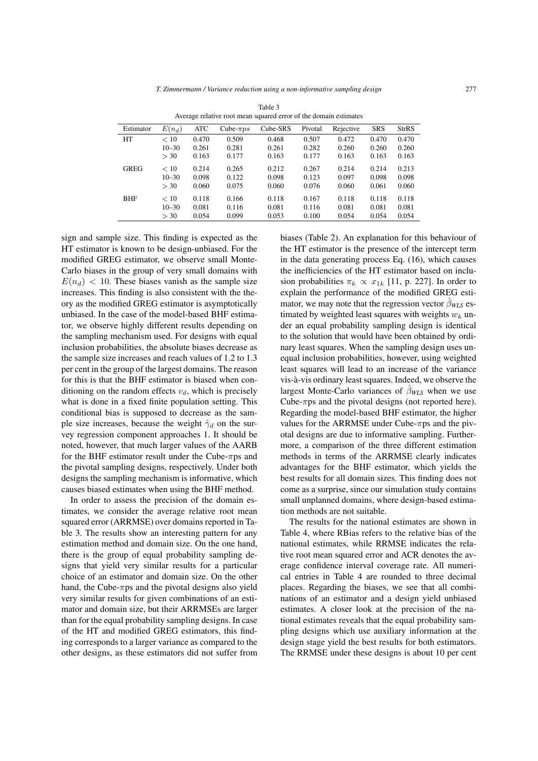<span id="page-6-0"></span>

| Average relative root mean squared error of the domain estimates |           |            |                |          |         |           |            |              |
|------------------------------------------------------------------|-----------|------------|----------------|----------|---------|-----------|------------|--------------|
| Estimator                                                        | $E(n_d)$  | <b>ATC</b> | Cube- $\pi ps$ | Cube-SRS | Pivotal | Rejective | <b>SRS</b> | <b>StrRS</b> |
| HT                                                               | < 10      | 0.470      | 0.509          | 0.468    | 0.507   | 0.472     | 0.470      | 0.470        |
|                                                                  | $10 - 30$ | 0.261      | 0.281          | 0.261    | 0.282   | 0.260     | 0.260      | 0.260        |
|                                                                  | > 30      | 0.163      | 0.177          | 0.163    | 0.177   | 0.163     | 0.163      | 0.163        |
| <b>GREG</b>                                                      | < 10      | 0.214      | 0.265          | 0.212    | 0.267   | 0.214     | 0.214      | 0.213        |
|                                                                  | $10 - 30$ | 0.098      | 0.122          | 0.098    | 0.123   | 0.097     | 0.098      | 0.098        |
|                                                                  | > 30      | 0.060      | 0.075          | 0.060    | 0.076   | 0.060     | 0.061      | 0.060        |
| <b>BHF</b>                                                       | < 10      | 0.118      | 0.166          | 0.118    | 0.167   | 0.118     | 0.118      | 0.118        |
|                                                                  | $10 - 30$ | 0.081      | 0.116          | 0.081    | 0.116   | 0.081     | 0.081      | 0.081        |
|                                                                  | $>$ 30    | 0.054      | 0.099          | 0.053    | 0.100   | 0.054     | 0.054      | 0.054        |

Table 3

sign and sample size. This finding is expected as the HT estimator is known to be design-unbiased. For the modified GREG estimator, we observe small Monte-Carlo biases in the group of very small domains with  $E(n_d)$  < 10. These biases vanish as the sample size increases. This finding is also consistent with the theory as the modified GREG estimator is asymptotically unbiased. In the case of the model-based BHF estimator, we observe highly different results depending on the sampling mechanism used. For designs with equal inclusion probabilities, the absolute biases decrease as the sample size increases and reach values of 1.2 to 1.3 per cent in the group of the largest domains. The reason for this is that the BHF estimator is biased when conditioning on the random effects  $v_d$ , which is precisely what is done in a fixed finite population setting. This conditional bias is supposed to decrease as the sample size increases, because the weight  $\hat{\gamma}_d$  on the survey regression component approaches 1. It should be noted, however, that much larger values of the AARB for the BHF estimator result under the Cube- $\pi$ ps and the pivotal sampling designs, respectively. Under both designs the sampling mechanism is informative, which causes biased estimates when using the BHF method.

In order to assess the precision of the domain estimates, we consider the average relative root mean squared error (ARRMSE) over domains reported in Table [3.](#page-6-0) The results show an interesting pattern for any estimation method and domain size. On the one hand, there is the group of equal probability sampling designs that yield very similar results for a particular choice of an estimator and domain size. On the other hand, the Cube- $\pi$ ps and the pivotal designs also yield very similar results for given combinations of an estimator and domain size, but their ARRMSEs are larger than for the equal probability sampling designs. In case of the HT and modified GREG estimators, this finding corresponds to a larger variance as compared to the other designs, as these estimators did not suffer from biases (Table [2\)](#page-5-0). An explanation for this behaviour of the HT estimator is the presence of the intercept term in the data generating process Eq. [\(16\)](#page-4-1), which causes the inefficiencies of the HT estimator based on inclusion probabilities  $\pi_k \propto x_{1k}$  [\[11,](#page-8-9) p. 227]. In order to explain the performance of the modified GREG estimator, we may note that the regression vector  $\hat{\beta}_{WLS}$  estimated by weighted least squares with weights  $w_k$  under an equal probability sampling design is identical to the solution that would have been obtained by ordinary least squares. When the sampling design uses unequal inclusion probabilities, however, using weighted least squares will lead to an increase of the variance vis-à-vis ordinary least squares. Indeed, we observe the largest Monte-Carlo variances of  $\hat{\beta}_{WLS}$  when we use Cube- $\pi$ ps and the pivotal designs (not reported here). Regarding the model-based BHF estimator, the higher values for the ARRMSE under Cube- $\pi$ ps and the pivotal designs are due to informative sampling. Furthermore, a comparison of the three different estimation methods in terms of the ARRMSE clearly indicates advantages for the BHF estimator, which yields the best results for all domain sizes. This finding does not come as a surprise, since our simulation study contains small unplanned domains, where design-based estimation methods are not suitable.

The results for the national estimates are shown in Table [4,](#page-7-0) where RBias refers to the relative bias of the national estimates, while RRMSE indicates the relative root mean squared error and ACR denotes the average confidence interval coverage rate. All numerical entries in Table [4](#page-7-0) are rounded to three decimal places. Regarding the biases, we see that all combinations of an estimator and a design yield unbiased estimates. A closer look at the precision of the national estimates reveals that the equal probability sampling designs which use auxiliary information at the design stage yield the best results for both estimators. The RRMSE under these designs is about 10 per cent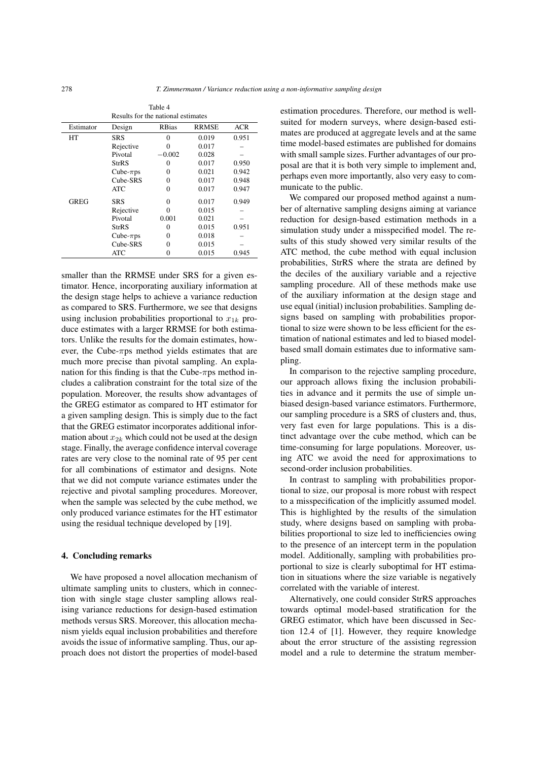<span id="page-7-0"></span>

|                                    |                | 1auic 4      |              |       |  |  |
|------------------------------------|----------------|--------------|--------------|-------|--|--|
| Results for the national estimates |                |              |              |       |  |  |
| Estimator                          | Design         | <b>RBias</b> | <b>RRMSE</b> | ACR   |  |  |
| HT                                 | SRS            | 0            | 0.019        | 0.951 |  |  |
|                                    | Rejective      | 0            | 0.017        |       |  |  |
|                                    | Pivotal        | 0.002        | 0.028        |       |  |  |
|                                    | <b>StrRS</b>   | 0            | 0.017        | 0.950 |  |  |
|                                    | Cube- $\pi$ ps | 0            | 0.021        | 0.942 |  |  |
|                                    | $Cube-SRS$     | 0            | 0.017        | 0.948 |  |  |
|                                    | <b>ATC</b>     | 0            | 0.017        | 0.947 |  |  |
| GREG                               | <b>SRS</b>     | 0            | 0.017        | 0.949 |  |  |
|                                    | Rejective      |              | 0.015        |       |  |  |
|                                    | Pivotal        | 0.001        | 0.021        |       |  |  |
|                                    | <b>StrRS</b>   | 0            | 0.015        | 0.951 |  |  |
|                                    | Cube- $\pi$ ps | 0            | 0.018        |       |  |  |
|                                    | Cube-SRS       | 0            | 0.015        |       |  |  |
|                                    | ATC            | 0            | 0.015        | 0.945 |  |  |
|                                    |                |              |              |       |  |  |

 $T = 1.1 - 4$ 

smaller than the RRMSE under SRS for a given estimator. Hence, incorporating auxiliary information at the design stage helps to achieve a variance reduction as compared to SRS. Furthermore, we see that designs using inclusion probabilities proportional to  $x_{1k}$  produce estimates with a larger RRMSE for both estimators. Unlike the results for the domain estimates, however, the Cube-πps method yields estimates that are much more precise than pivotal sampling. An explanation for this finding is that the Cube- $\pi$ ps method includes a calibration constraint for the total size of the population. Moreover, the results show advantages of the GREG estimator as compared to HT estimator for a given sampling design. This is simply due to the fact that the GREG estimator incorporates additional information about  $x_{2k}$  which could not be used at the design stage. Finally, the average confidence interval coverage rates are very close to the nominal rate of 95 per cent for all combinations of estimator and designs. Note that we did not compute variance estimates under the rejective and pivotal sampling procedures. Moreover, when the sample was selected by the cube method, we only produced variance estimates for the HT estimator using the residual technique developed by [\[19\]](#page-8-17).

### 4. Concluding remarks

We have proposed a novel allocation mechanism of ultimate sampling units to clusters, which in connection with single stage cluster sampling allows realising variance reductions for design-based estimation methods versus SRS. Moreover, this allocation mechanism yields equal inclusion probabilities and therefore avoids the issue of informative sampling. Thus, our approach does not distort the properties of model-based estimation procedures. Therefore, our method is wellsuited for modern surveys, where design-based estimates are produced at aggregate levels and at the same time model-based estimates are published for domains with small sample sizes. Further advantages of our proposal are that it is both very simple to implement and, perhaps even more importantly, also very easy to communicate to the public.

We compared our proposed method against a number of alternative sampling designs aiming at variance reduction for design-based estimation methods in a simulation study under a misspecified model. The results of this study showed very similar results of the ATC method, the cube method with equal inclusion probabilities, StrRS where the strata are defined by the deciles of the auxiliary variable and a rejective sampling procedure. All of these methods make use of the auxiliary information at the design stage and use equal (initial) inclusion probabilities. Sampling designs based on sampling with probabilities proportional to size were shown to be less efficient for the estimation of national estimates and led to biased modelbased small domain estimates due to informative sampling.

In comparison to the rejective sampling procedure, our approach allows fixing the inclusion probabilities in advance and it permits the use of simple unbiased design-based variance estimators. Furthermore, our sampling procedure is a SRS of clusters and, thus, very fast even for large populations. This is a distinct advantage over the cube method, which can be time-consuming for large populations. Moreover, using ATC we avoid the need for approximations to second-order inclusion probabilities.

In contrast to sampling with probabilities proportional to size, our proposal is more robust with respect to a misspecification of the implicitly assumed model. This is highlighted by the results of the simulation study, where designs based on sampling with probabilities proportional to size led to inefficiencies owing to the presence of an intercept term in the population model. Additionally, sampling with probabilities proportional to size is clearly suboptimal for HT estimation in situations where the size variable is negatively correlated with the variable of interest.

Alternatively, one could consider StrRS approaches towards optimal model-based stratification for the GREG estimator, which have been discussed in Section 12.4 of [\[1\]](#page-8-0). However, they require knowledge about the error structure of the assisting regression model and a rule to determine the stratum member